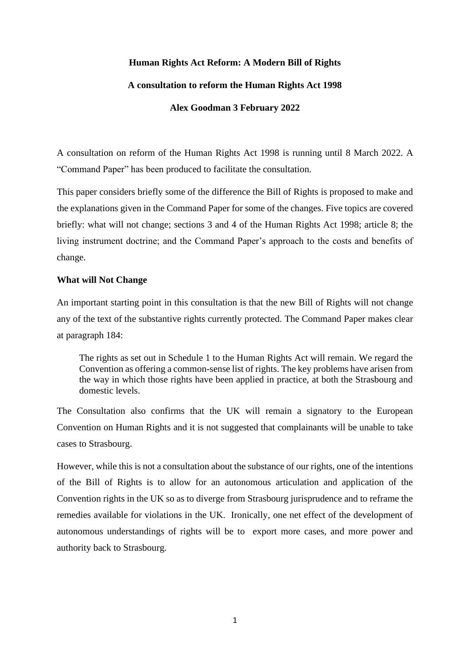# **Human Rights Act Reform: A Modern Bill of Rights**

## **A consultation to reform the Human Rights Act 1998**

# **Alex Goodman 3 February 2022**

A consultation on reform of the Human Rights Act 1998 is running until 8 March 2022. A "Command Paper" has been produced to facilitate the consultation.

This paper considers briefly some of the difference the Bill of Rights is proposed to make and the explanations given in the Command Paper for some of the changes. Five topics are covered briefly: what will not change; sections 3 and 4 of the Human Rights Act 1998; article 8; the living instrument doctrine; and the Command Paper's approach to the costs and benefits of change.

# **What will Not Change**

An important starting point in this consultation is that the new Bill of Rights will not change any of the text of the substantive rights currently protected. The Command Paper makes clear at paragraph 184:

The rights as set out in Schedule 1 to the Human Rights Act will remain. We regard the Convention as offering a common-sense list of rights. The key problems have arisen from the way in which those rights have been applied in practice, at both the Strasbourg and domestic levels.

The Consultation also confirms that the UK will remain a signatory to the European Convention on Human Rights and it is not suggested that complainants will be unable to take cases to Strasbourg.

However, while this is not a consultation about the substance of our rights, one of the intentions of the Bill of Rights is to allow for an autonomous articulation and application of the Convention rights in the UK so as to diverge from Strasbourg jurisprudence and to reframe the remedies available for violations in the UK. Ironically, one net effect of the development of autonomous understandings of rights will be to export more cases, and more power and authority back to Strasbourg.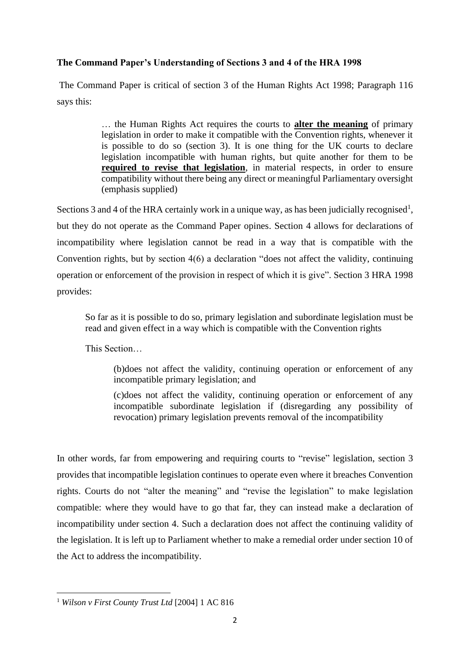# **The Command Paper's Understanding of Sections 3 and 4 of the HRA 1998**

The Command Paper is critical of section 3 of the Human Rights Act 1998; Paragraph 116 says this:

> … the Human Rights Act requires the courts to **alter the meaning** of primary legislation in order to make it compatible with the Convention rights, whenever it is possible to do so (section 3). It is one thing for the UK courts to declare legislation incompatible with human rights, but quite another for them to be **required to revise that legislation**, in material respects, in order to ensure compatibility without there being any direct or meaningful Parliamentary oversight (emphasis supplied)

Sections 3 and 4 of the HRA certainly work in a unique way, as has been judicially recognised<sup>1</sup>, but they do not operate as the Command Paper opines. Section 4 allows for declarations of incompatibility where legislation cannot be read in a way that is compatible with the Convention rights, but by section 4(6) a declaration "does not affect the validity, continuing operation or enforcement of the provision in respect of which it is give". Section 3 HRA 1998 provides:

So far as it is possible to do so, primary legislation and subordinate legislation must be read and given effect in a way which is compatible with the Convention rights

This Section…

(b)does not affect the validity, continuing operation or enforcement of any incompatible primary legislation; and

(c)does not affect the validity, continuing operation or enforcement of any incompatible subordinate legislation if (disregarding any possibility of revocation) primary legislation prevents removal of the incompatibility

In other words, far from empowering and requiring courts to "revise" legislation, section 3 provides that incompatible legislation continues to operate even where it breaches Convention rights. Courts do not "alter the meaning" and "revise the legislation" to make legislation compatible: where they would have to go that far, they can instead make a declaration of incompatibility under section 4. Such a declaration does not affect the continuing validity of the legislation. It is left up to Parliament whether to make a remedial order under section 10 of the Act to address the incompatibility.

<sup>1</sup> *Wilson v First County Trust Ltd* [2004] 1 AC 816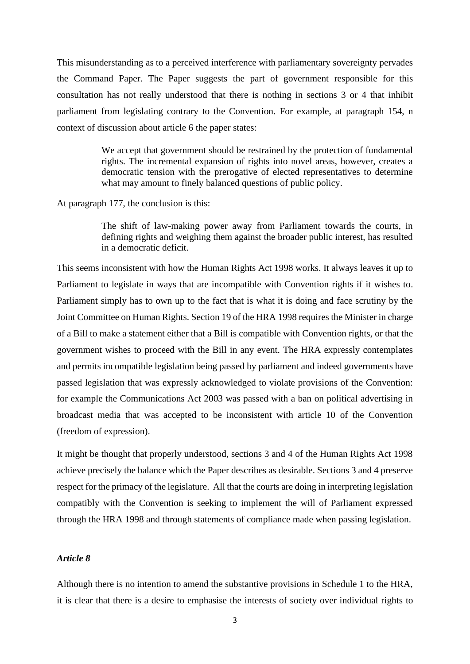This misunderstanding as to a perceived interference with parliamentary sovereignty pervades the Command Paper. The Paper suggests the part of government responsible for this consultation has not really understood that there is nothing in sections 3 or 4 that inhibit parliament from legislating contrary to the Convention. For example, at paragraph 154, n context of discussion about article 6 the paper states:

> We accept that government should be restrained by the protection of fundamental rights. The incremental expansion of rights into novel areas, however, creates a democratic tension with the prerogative of elected representatives to determine what may amount to finely balanced questions of public policy.

At paragraph 177, the conclusion is this:

The shift of law-making power away from Parliament towards the courts, in defining rights and weighing them against the broader public interest, has resulted in a democratic deficit.

This seems inconsistent with how the Human Rights Act 1998 works. It always leaves it up to Parliament to legislate in ways that are incompatible with Convention rights if it wishes to. Parliament simply has to own up to the fact that is what it is doing and face scrutiny by the Joint Committee on Human Rights. Section 19 of the HRA 1998 requires the Minister in charge of a Bill to make a statement either that a Bill is compatible with Convention rights, or that the government wishes to proceed with the Bill in any event. The HRA expressly contemplates and permits incompatible legislation being passed by parliament and indeed governments have passed legislation that was expressly acknowledged to violate provisions of the Convention: for example the Communications Act 2003 was passed with a ban on political advertising in broadcast media that was accepted to be inconsistent with article 10 of the Convention (freedom of expression).

It might be thought that properly understood, sections 3 and 4 of the Human Rights Act 1998 achieve precisely the balance which the Paper describes as desirable. Sections 3 and 4 preserve respect for the primacy of the legislature. All that the courts are doing in interpreting legislation compatibly with the Convention is seeking to implement the will of Parliament expressed through the HRA 1998 and through statements of compliance made when passing legislation.

# *Article 8*

Although there is no intention to amend the substantive provisions in Schedule 1 to the HRA, it is clear that there is a desire to emphasise the interests of society over individual rights to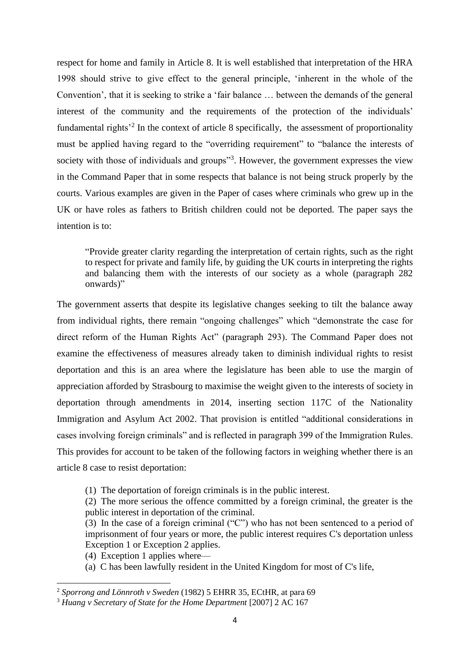respect for home and family in Article 8. It is well established that interpretation of the HRA 1998 should strive to give effect to the general principle, 'inherent in the whole of the Convention', that it is seeking to strike a 'fair balance … between the demands of the general interest of the community and the requirements of the protection of the individuals' fundamental rights<sup>32</sup> In the context of article 8 specifically, the assessment of proportionality must be applied having regard to the "overriding requirement" to "balance the interests of society with those of individuals and groups"<sup>3</sup>. However, the government expresses the view in the Command Paper that in some respects that balance is not being struck properly by the courts. Various examples are given in the Paper of cases where criminals who grew up in the UK or have roles as fathers to British children could not be deported. The paper says the intention is to:

"Provide greater clarity regarding the interpretation of certain rights, such as the right to respect for private and family life, by guiding the UK courts in interpreting the rights and balancing them with the interests of our society as a whole (paragraph 282 onwards)"

The government asserts that despite its legislative changes seeking to tilt the balance away from individual rights, there remain "ongoing challenges" which "demonstrate the case for direct reform of the Human Rights Act" (paragraph 293). The Command Paper does not examine the effectiveness of measures already taken to diminish individual rights to resist deportation and this is an area where the legislature has been able to use the margin of appreciation afforded by Strasbourg to maximise the weight given to the interests of society in deportation through amendments in 2014, inserting section 117C of the Nationality Immigration and Asylum Act 2002. That provision is entitled "additional considerations in cases involving foreign criminals" and is reflected in paragraph 399 of the Immigration Rules. This provides for account to be taken of the following factors in weighing whether there is an article 8 case to resist deportation:

(1) The deportation of foreign criminals is in the public interest.

(2) The more serious the offence committed by a foreign criminal, the greater is the public interest in deportation of the criminal.

(3) In the case of a foreign criminal ("C") who has not been sentenced to a period of imprisonment of four years or more, the public interest requires C's deportation unless Exception 1 or Exception 2 applies.

(4) Exception 1 applies where—

(a) C has been lawfully resident in the United Kingdom for most of C's life,

<sup>2</sup> *Sporrong and Lönnroth v Sweden* (1982) 5 EHRR 35, ECtHR, at para 69

<sup>3</sup> *Huang v Secretary of State for the Home Department* [2007] 2 AC 167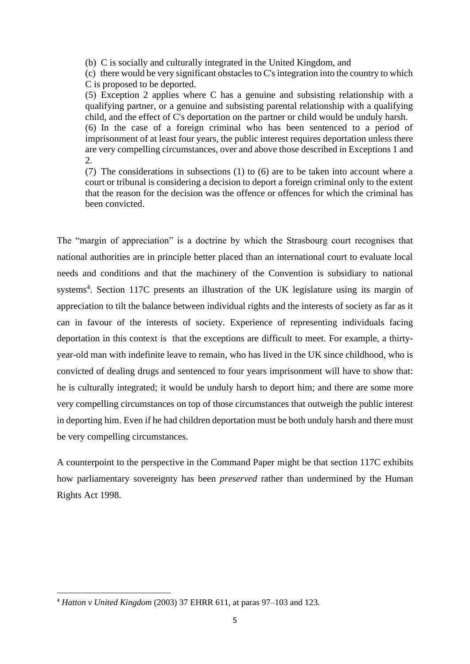(b) C is socially and culturally integrated in the United Kingdom, and

(c) there would be very significant obstacles to C's integration into the country to which C is proposed to be deported.

(5) Exception 2 applies where C has a genuine and subsisting relationship with a qualifying partner, or a genuine and subsisting parental relationship with a qualifying child, and the effect of C's deportation on the partner or child would be unduly harsh. (6) In the case of a foreign criminal who has been sentenced to a period of imprisonment of at least four years, the public interest requires deportation unless there are very compelling circumstances, over and above those described in Exceptions 1 and 2.

(7) The considerations in subsections (1) to (6) are to be taken into account where a court or tribunal is considering a decision to deport a foreign criminal only to the extent that the reason for the decision was the offence or offences for which the criminal has been convicted.

The "margin of appreciation" is a doctrine by which the Strasbourg court recognises that national authorities are in principle better placed than an international court to evaluate local needs and conditions and that the machinery of the Convention is subsidiary to national systems<sup>4</sup>. Section 117C presents an illustration of the UK legislature using its margin of appreciation to tilt the balance between individual rights and the interests of society as far as it can in favour of the interests of society. Experience of representing individuals facing deportation in this context is that the exceptions are difficult to meet. For example, a thirtyyear-old man with indefinite leave to remain, who has lived in the UK since childhood, who is convicted of dealing drugs and sentenced to four years imprisonment will have to show that: he is culturally integrated; it would be unduly harsh to deport him; and there are some more very compelling circumstances on top of those circumstances that outweigh the public interest in deporting him. Even if he had children deportation must be both unduly harsh and there must be very compelling circumstances.

A counterpoint to the perspective in the Command Paper might be that section 117C exhibits how parliamentary sovereignty has been *preserved* rather than undermined by the Human Rights Act 1998.

<sup>4</sup> *Hatton v United Kingdom* (2003) 37 EHRR 611, at paras 97–103 and 123.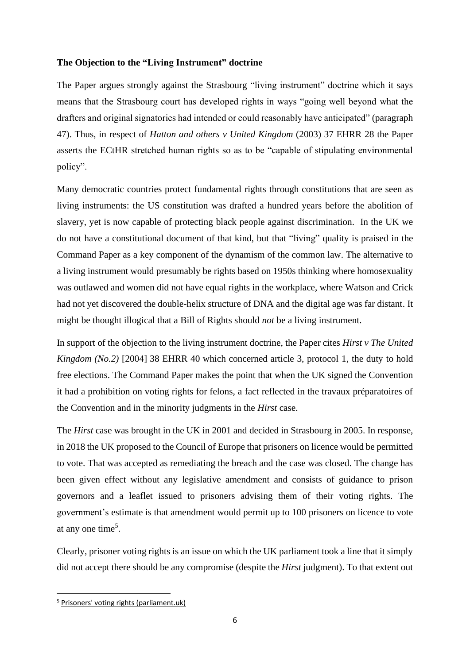### **The Objection to the "Living Instrument" doctrine**

The Paper argues strongly against the Strasbourg "living instrument" doctrine which it says means that the Strasbourg court has developed rights in ways "going well beyond what the drafters and original signatories had intended or could reasonably have anticipated" (paragraph 47). Thus, in respect of *Hatton and others v United Kingdom* (2003) 37 EHRR 28 the Paper asserts the ECtHR stretched human rights so as to be "capable of stipulating environmental policy".

Many democratic countries protect fundamental rights through constitutions that are seen as living instruments: the US constitution was drafted a hundred years before the abolition of slavery, yet is now capable of protecting black people against discrimination. In the UK we do not have a constitutional document of that kind, but that "living" quality is praised in the Command Paper as a key component of the dynamism of the common law. The alternative to a living instrument would presumably be rights based on 1950s thinking where homosexuality was outlawed and women did not have equal rights in the workplace, where Watson and Crick had not yet discovered the double-helix structure of DNA and the digital age was far distant. It might be thought illogical that a Bill of Rights should *not* be a living instrument.

In support of the objection to the living instrument doctrine, the Paper cites *Hirst v The United Kingdom (No.2)* [2004] 38 EHRR 40 which concerned article 3, protocol 1, the duty to hold free elections. The Command Paper makes the point that when the UK signed the Convention it had a prohibition on voting rights for felons, a fact reflected in the travaux préparatoires of the Convention and in the minority judgments in the *Hirst* case.

The *Hirst* case was brought in the UK in 2001 and decided in Strasbourg in 2005. In response, in 2018 the UK proposed to the Council of Europe that prisoners on licence would be permitted to vote. That was accepted as remediating the breach and the case was closed. The change has been given effect without any legislative amendment and consists of guidance to prison governors and a leaflet issued to prisoners advising them of their voting rights. The government's estimate is that amendment would permit up to 100 prisoners on licence to vote at any one time<sup>5</sup>.

Clearly, prisoner voting rights is an issue on which the UK parliament took a line that it simply did not accept there should be any compromise (despite the *Hirst* judgment). To that extent out

<sup>5</sup> [Prisoners' voting rights \(parliament.uk\)](https://researchbriefings.files.parliament.uk/documents/CBP-7461/CBP-7461.pdf)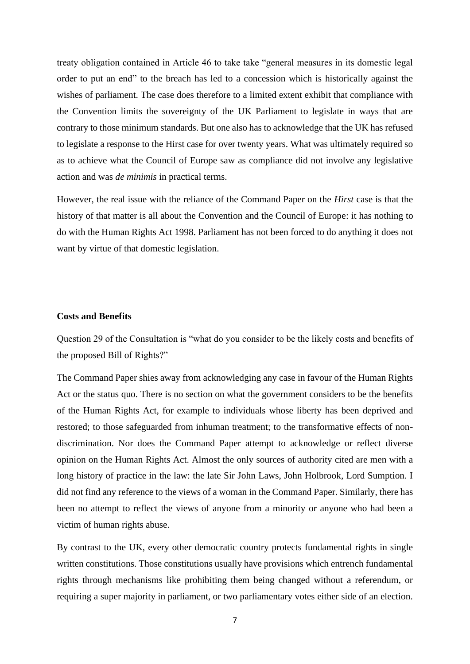treaty obligation contained in Article 46 to take take "general measures in its domestic legal order to put an end" to the breach has led to a concession which is historically against the wishes of parliament. The case does therefore to a limited extent exhibit that compliance with the Convention limits the sovereignty of the UK Parliament to legislate in ways that are contrary to those minimum standards. But one also has to acknowledge that the UK has refused to legislate a response to the Hirst case for over twenty years. What was ultimately required so as to achieve what the Council of Europe saw as compliance did not involve any legislative action and was *de minimis* in practical terms.

However, the real issue with the reliance of the Command Paper on the *Hirst* case is that the history of that matter is all about the Convention and the Council of Europe: it has nothing to do with the Human Rights Act 1998. Parliament has not been forced to do anything it does not want by virtue of that domestic legislation.

#### **Costs and Benefits**

Question 29 of the Consultation is "what do you consider to be the likely costs and benefits of the proposed Bill of Rights?"

The Command Paper shies away from acknowledging any case in favour of the Human Rights Act or the status quo. There is no section on what the government considers to be the benefits of the Human Rights Act, for example to individuals whose liberty has been deprived and restored; to those safeguarded from inhuman treatment; to the transformative effects of nondiscrimination. Nor does the Command Paper attempt to acknowledge or reflect diverse opinion on the Human Rights Act. Almost the only sources of authority cited are men with a long history of practice in the law: the late Sir John Laws, John Holbrook, Lord Sumption. I did not find any reference to the views of a woman in the Command Paper. Similarly, there has been no attempt to reflect the views of anyone from a minority or anyone who had been a victim of human rights abuse.

By contrast to the UK, every other democratic country protects fundamental rights in single written constitutions. Those constitutions usually have provisions which entrench fundamental rights through mechanisms like prohibiting them being changed without a referendum, or requiring a super majority in parliament, or two parliamentary votes either side of an election.